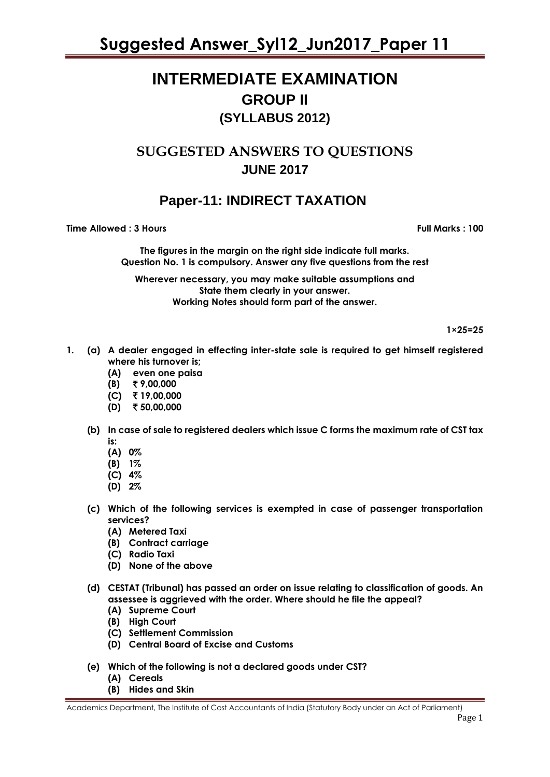# **INTERMEDIATE EXAMINATION GROUP II (SYLLABUS 2012)**

# **SUGGESTED ANSWERS TO QUESTIONS JUNE 2017**

## **Paper-11: INDIRECT TAXATION**

**Time Allowed : 3 Hours Full Marks : 100** 

**The figures in the margin on the right side indicate full marks. Question No. 1 is compulsory. Answer any five questions from the rest** 

**Wherever necessary, you may make suitable assumptions and State them clearly in your answer. Working Notes should form part of the answer.** 

 **1×25=25**

- **1. (a) A dealer engaged in effecting inter-state sale is required to get himself registered where his turnover is;**
	- **(A) even one paisa**
	- **(B)** ` **9,00,000**
	- **(C)** ` **19,00,000**
	- **(D)** ` **50,00,000**
	- **(b) In case of sale to registered dealers which issue C forms the maximum rate of CST tax is:**
		- **(A) 0%**
		- **(B) 1%**
		- **(C) 4%**
		- **(D) 2%**
	- **(c) Which of the following services is exempted in case of passenger transportation services?**
		- **(A) Metered Taxi**
		- **(B) Contract carriage**
		- **(C) Radio Taxi**
		- **(D) None of the above**
	- **(d) CESTAT (Tribunal) has passed an order on issue relating to classification of goods. An assessee is aggrieved with the order. Where should he file the appeal?**
		- **(A) Supreme Court**
		- **(B) High Court**
		- **(C) Settlement Commission**
		- **(D) Central Board of Excise and Customs**
	- **(e) Which of the following is not a declared goods under CST?**
		- **(A) Cereals**
		- **(B) Hides and Skin**

Academics Department, The Institute of Cost Accountants of India (Statutory Body under an Act of Parliament)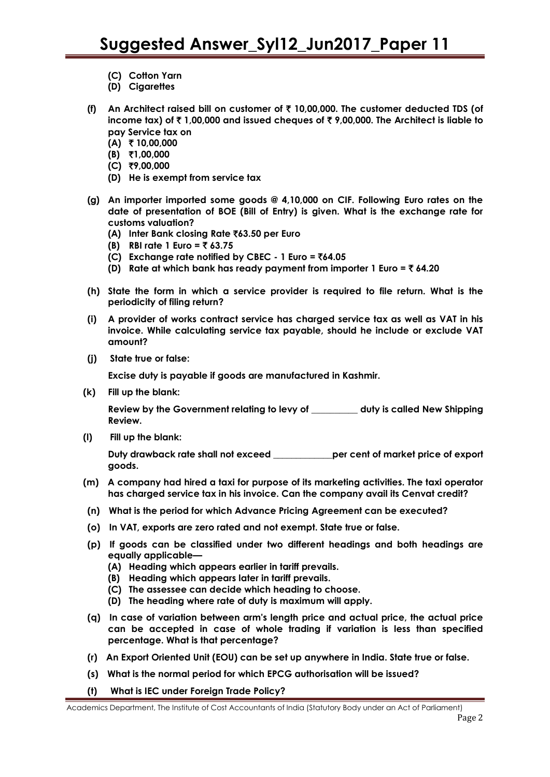- **(C) Cotton Yarn**
- **(D) Cigarettes**
- **(f) An Architect raised bill on customer of** ` **10,00,000. The customer deducted TDS (of income tax) of** ` **1,00,000 and issued cheques of** ` **9,00,000. The Architect is liable to pay Service tax on**
	- **(A)** ` **10,00,000**
	- **(B)** `**1,00,000**
	- **(C)** `**9,00,000**
	- **(D) He is exempt from service tax**
- **(g) An importer imported some goods @ 4,10,000 on CIF. Following Euro rates on the date of presentation of BOE (Bill of Entry) is given. What is the exchange rate for customs valuation?**
	- **(A) Inter Bank closing Rate** `**63.50 per Euro**
	- **(B) RBI rate 1 Euro =** ` **63.75**
	- **(C) Exchange rate notified by CBEC - 1 Euro =** `**64.05**
	- **(D) Rate at which bank has ready payment from importer 1 Euro =** ` **64.20**
- **(h) State the form in which a service provider is required to file return. What is the periodicity of filing return?**
- **(i) A provider of works contract service has charged service tax as well as VAT in his invoice. While calculating service tax payable, should he include or exclude VAT amount?**
- **(j) State true or false:**

**Excise duty is payable if goods are manufactured in Kashmir.**

**(k) Fill up the blank:**

**Review by the Government relating to levy of \_\_\_\_\_\_\_\_\_\_ duty is called New Shipping Review.**

**(l) Fill up the blank:**

**Duty drawback rate shall not exceed \_\_\_\_\_\_\_\_\_\_\_\_\_per cent of market price of export goods.**

- **(m) A company had hired a taxi for purpose of its marketing activities. The taxi operator has charged service tax in his invoice. Can the company avail its Cenvat credit?**
- **(n) What is the period for which Advance Pricing Agreement can be executed?**
- **(o) In VAT, exports are zero rated and not exempt. State true or false.**
- **(p) If goods can be classified under two different headings and both headings are equally applicable—**
	- **(A) Heading which appears earlier in tariff prevails.**
	- **(B) Heading which appears later in tariff prevails.**
	- **(C) The assessee can decide which heading to choose.**
	- **(D) The heading where rate of duty is maximum will apply.**
- **(q) In case of variation between arm's length price and actual price, the actual price can be accepted in case of whole trading if variation is less than specified percentage. What is that percentage?**
- **(r) An Export Oriented Unit (EOU) can be set up anywhere in India. State true or false.**
- **(s) What is the normal period for which EPCG authorisation will be issued?**
- **(t) What is IEC under Foreign Trade Policy?**

Academics Department, The Institute of Cost Accountants of India (Statutory Body under an Act of Parliament)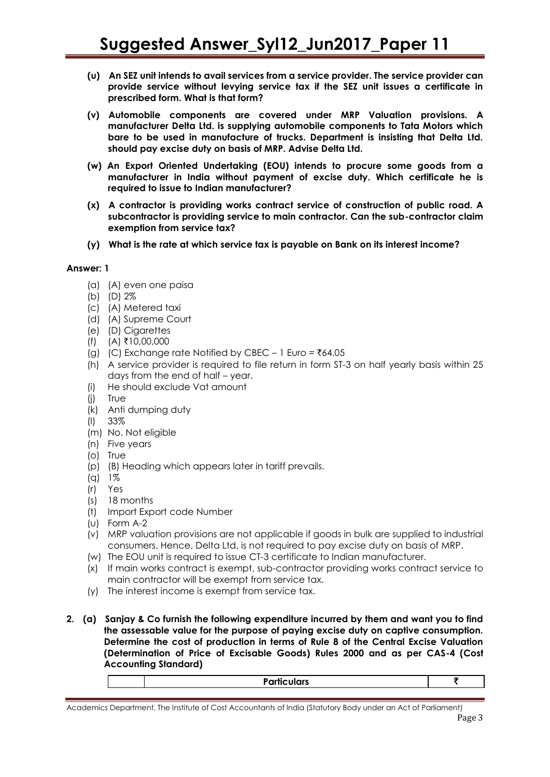- **(u) An SEZ unit intends to avail services from a service provider. The service provider can provide service without levying service tax if the SEZ unit issues a certificate in prescribed form. What is that form?**
- **(v) Automobile components are covered under MRP Valuation provisions. A manufacturer Delta Ltd. is supplying automobile components to Tata Motors which bare to be used in manufacture of trucks. Department is insisting that Delta Ltd. should pay excise duty on basis of MRP. Advise Delta Ltd.**
- **(w) An Export Oriented Undertaking (EOU) intends to procure some goods from a manufacturer in India without payment of excise duty. Which certificate he is required to issue to Indian manufacturer?**
- **(x) A contractor is providing works contract service of construction of public road. A subcontractor is providing service to main contractor. Can the sub-contractor claim exemption from service tax?**
- **(y) What is the rate at which service tax is payable on Bank on its interest income?**

#### **Answer: 1**

- (a) (A) even one paisa
- (b) (D) 2%
- (c) (A) Metered taxi
- (d) (A) Supreme Court
- (e) (D) Cigarettes
- $(f)$  (A) ₹10,00,000
- (g) (C) Exchange rate Notified by CBEC 1 Euro =  $\bar{z}64.05$
- (h) A service provider is required to file return in form ST-3 on half yearly basis within 25 days from the end of half – year.
- (i) He should exclude Vat amount
- (j) True
- (k) Anti dumping duty
- (l) 33%
- (m) No. Not eligible
- (n) Five years
- (o) True
- (p) (B) Heading which appears later in tariff prevails.
- (q) 1%
- (r) Yes
- (s) 18 months
- (t) Import Export code Number
- (u) Form A-2
- (v) MRP valuation provisions are not applicable if goods in bulk are supplied to industrial consumers. Hence, Delta Ltd. is not required to pay excise duty on basis of MRP.
- (w) The EOU unit is required to issue CT-3 certificate to Indian manufacturer.
- (x) If main works contract is exempt, sub-contractor providing works contract service to main contractor will be exempt from service tax.
- (y) The interest income is exempt from service tax.
- **2. (a) Sanjay & Co furnish the following expenditure incurred by them and want you to find the assessable value for the purpose of paying excise duty on captive consumption. Determine the cost of production in terms of Rule 8 of the Central Excise Valuation (Determination of Price of Excisable Goods) Rules 2000 and as per CAS-4 (Cost Accounting Standard)**

| $\bullet$<br><b>D</b> $-$<br>.<br>כוטוי: |  |
|------------------------------------------|--|
|                                          |  |

Academics Department, The Institute of Cost Accountants of India (Statutory Body under an Act of Parliament) Page 3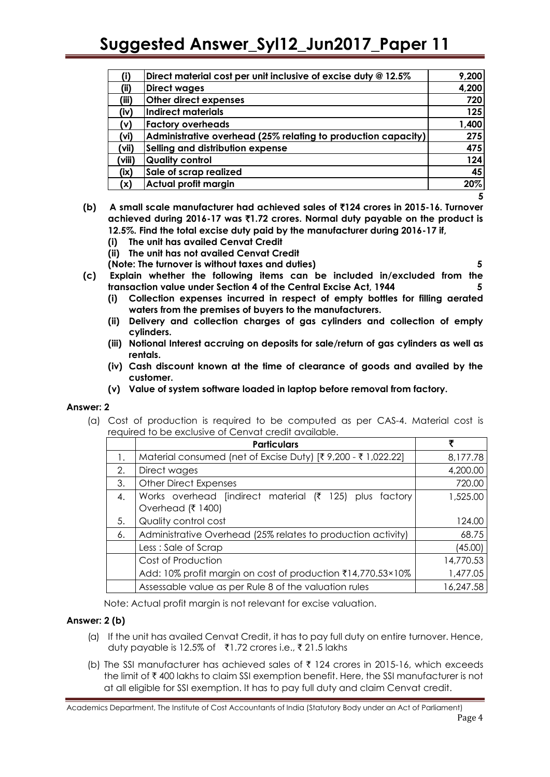|        | Direct material cost per unit inclusive of excise duty @ 12.5% | 9,200 |
|--------|----------------------------------------------------------------|-------|
| (ii)   | <b>Direct wages</b>                                            | 4,200 |
| (iii)  | Other direct expenses                                          | 720   |
| (iv)   | Indirect materials                                             | 125   |
| V)     | <b>Factory overheads</b>                                       | 1,400 |
| (vi)   | Administrative overhead (25% relating to production capacity)  | 275   |
| (vii)  | Selling and distribution expense                               | 475   |
| (viii) | <b>Quality control</b>                                         | 124   |
| (ix)   | Sale of scrap realized                                         | 45    |
| (x)    | Actual profit margin                                           | 20%   |
|        |                                                                |       |

- **(b) A small scale manufacturer had achieved sales of** `**124 crores in 2015-16. Turnover achieved during 2016-17 was** `**1.72 crores. Normal duty payable on the product is 12.5%. Find the total excise duty paid by the manufacturer during 2016-17 if,**
	- **(i) The unit has availed Cenvat Credit**
	- **(ii) The unit has not availed Cenvat Credit**
	- **(Note: The turnover is without taxes and duties) 5**
		-
- **(c) Explain whether the following items can be included in/excluded from the transaction value under Section 4 of the Central Excise Act, 1944 5**
	- **(i) Collection expenses incurred in respect of empty bottles for filling aerated waters from the premises of buyers to the manufacturers.**
	- **(ii) Delivery and collection charges of gas cylinders and collection of empty cylinders.**
	- **(iii) Notional Interest accruing on deposits for sale/return of gas cylinders as well as rentals.**
	- **(iv) Cash discount known at the time of clearance of goods and availed by the customer.**
	- **(v) Value of system software loaded in laptop before removal from factory.**

#### **Answer: 2**

(a) Cost of production is required to be computed as per CAS-4. Material cost is required to be exclusive of Cenvat credit available.

|    | <b>Particulars</b>                                                          | ₹         |
|----|-----------------------------------------------------------------------------|-----------|
| 1. | Material consumed (net of Excise Duty) [₹ 9,200 - ₹ 1,022.22]               | 8,177.78  |
| 2. | Direct wages                                                                | 4,200.00  |
| 3. | <b>Other Direct Expenses</b>                                                | 720.00    |
| 4. | Works overhead [indirect material (₹ 125) plus factory<br>Overhead (₹ 1400) | 1,525.00  |
| 5. | Quality control cost                                                        | 124.00    |
| 6. | Administrative Overhead (25% relates to production activity)                | 68.75     |
|    | Less: Sale of Scrap                                                         | (45.00)   |
|    | Cost of Production                                                          | 14,770.53 |
|    | Add: 10% profit margin on cost of production ₹14,770.53×10%                 | 1,477.05  |
|    | Assessable value as per Rule 8 of the valuation rules                       | 16,247.58 |

Note: Actual profit margin is not relevant for excise valuation.

## **Answer: 2 (b)**

- (a) If the unit has availed Cenvat Credit, it has to pay full duty on entire turnover. Hence, duty payable is 12.5% of ₹1.72 crores i.e., ₹21.5 lakhs
- (b) The SSI manufacturer has achieved sales of  $\bar{\tau}$  124 crores in 2015-16, which exceeds the limit of ` 400 lakhs to claim SSI exemption benefit. Here, the SSI manufacturer is not at all eligible for SSI exemption. It has to pay full duty and claim Cenvat credit.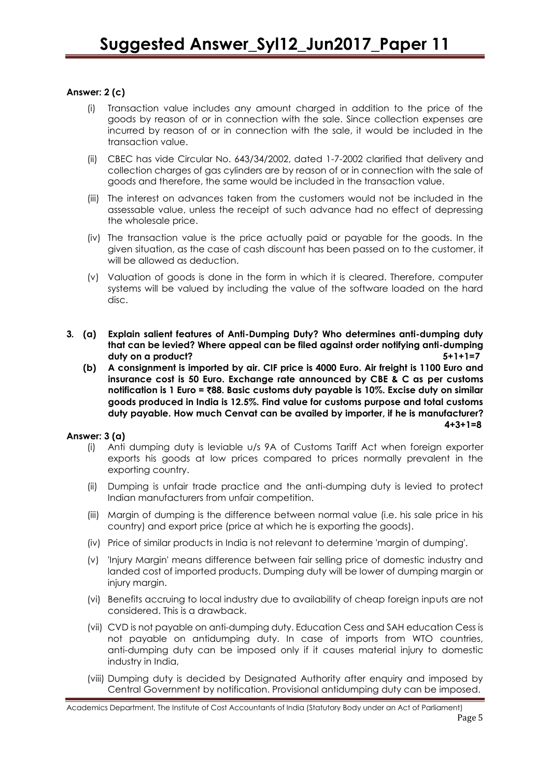## **Answer: 2 (c)**

- (i) Transaction value includes any amount charged in addition to the price of the goods by reason of or in connection with the sale. Since collection expenses are incurred by reason of or in connection with the sale, it would be included in the transaction value.
- (ii) CBEC has vide Circular No. 643/34/2002, dated 1-7-2002 clarified that delivery and collection charges of gas cylinders are by reason of or in connection with the sale of goods and therefore, the same would be included in the transaction value.
- (iii) The interest on advances taken from the customers would not be included in the assessable value, unless the receipt of such advance had no effect of depressing the wholesale price.
- (iv) The transaction value is the price actually paid or payable for the goods. In the given situation, as the case of cash discount has been passed on to the customer, it will be allowed as deduction.
- (v) Valuation of goods is done in the form in which it is cleared. Therefore, computer systems will be valued by including the value of the software loaded on the hard disc.
- **3. (a) Explain salient features of Anti-Dumping Duty? Who determines anti-dumping duty that can be levied? Where appeal can be filed against order notifying anti-dumping duty on a product? 5+1+1=7**
	- **(b) A consignment is imported by air. CIF price is 4000 Euro. Air freight is 1100 Euro and insurance cost is 50 Euro. Exchange rate announced by CBE & C as per customs notification is 1 Euro =** `**88. Basic customs duty payable is 10%. Excise duty on similar goods produced in India is 12.5%. Find value for customs purpose and total customs duty payable. How much Cenvat can be availed by importer, if he is manufacturer? 4+3+1=8**

#### **Answer: 3 (a)**

- (i) Anti dumping duty is leviable u/s 9A of Customs Tariff Act when foreign exporter exports his goods at low prices compared to prices normally prevalent in the exporting country.
- (ii) Dumping is unfair trade practice and the anti-dumping duty is levied to protect Indian manufacturers from unfair competition.
- (iii) Margin of dumping is the difference between normal value (i.e. his sale price in his country) and export price (price at which he is exporting the goods).
- (iv) Price of similar products in India is not relevant to determine 'margin of dumping'.
- (v) 'Injury Margin' means difference between fair selling price of domestic industry and landed cost of imported products. Dumping duty will be lower of dumping margin or injury margin.
- (vi) Benefits accruing to local industry due to availability of cheap foreign inputs are not considered. This is a drawback.
- (vii) CVD is not payable on anti-dumping duty. Education Cess and SAH education Cess is not payable on antidumping duty. In case of imports from WTO countries, anti-dumping duty can be imposed only if it causes material injury to domestic industry in India,
- (viii) Dumping duty is decided by Designated Authority after enquiry and imposed by Central Government by notification. Provisional antidumping duty can be imposed.

Academics Department, The Institute of Cost Accountants of India (Statutory Body under an Act of Parliament)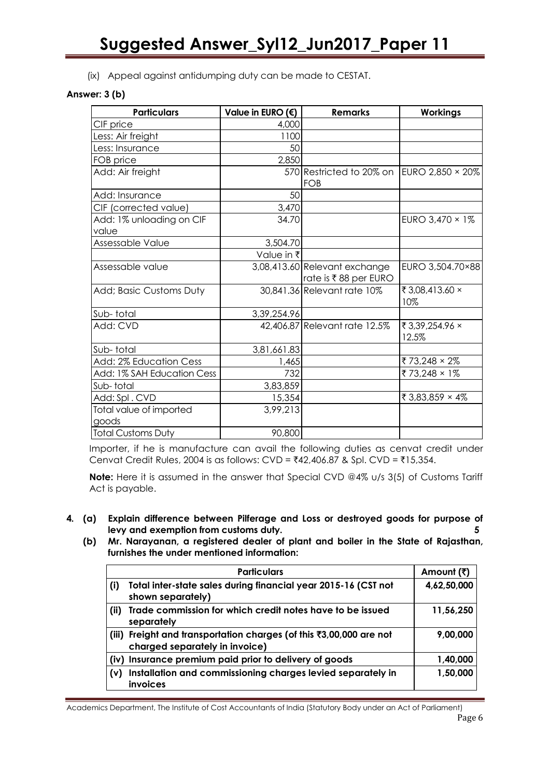(ix) Appeal against antidumping duty can be made to CESTAT.

## **Answer: 3 (b)**

| <b>Particulars</b>                | Value in EURO $(6)$ | <b>Remarks</b>                                          | <b>Workings</b>          |
|-----------------------------------|---------------------|---------------------------------------------------------|--------------------------|
| CIF price                         | 4,000               |                                                         |                          |
| Less: Air freight                 | 1100                |                                                         |                          |
| Less: Insurance                   | 50                  |                                                         |                          |
| FOB price                         | 2,850               |                                                         |                          |
| Add: Air freight                  |                     | 570 Restricted to 20% on EURO 2,850 $\times$ 20%<br>FOB |                          |
| Add: Insurance                    | 50                  |                                                         |                          |
| CIF (corrected value)             | 3,470               |                                                         |                          |
| Add: 1% unloading on CIF<br>value | 34.70               |                                                         | EURO 3,470 × 1%          |
| Assessable Value                  | 3,504.70            |                                                         |                          |
|                                   | Value in ₹          |                                                         |                          |
| Assessable value                  |                     | 3,08,413.60 Relevant exchange<br>rate is ₹88 per EURO   | EURO 3,504.70×88         |
| Add; Basic Customs Duty           |                     | 30,841.36 Relevant rate 10%                             | ₹3,08,413.60 ×<br>10%    |
| Sub-total                         | 3,39,254.96         |                                                         |                          |
| Add: CVD                          |                     | 42,406.87 Relevant rate 12.5%                           | ₹ 3,39,254.96 ×<br>12.5% |
| Sub-total                         | 3,81,661.83         |                                                         |                          |
| Add: 2% Education Cess            | 1,465               |                                                         | ₹73,248 × 2%             |
| Add: 1% SAH Education Cess        | 732                 |                                                         | ₹73,248 × 1%             |
| Sub-total                         | 3,83,859            |                                                         |                          |
| Add: Spl. CVD                     | 15,354              |                                                         | ₹ 3,83,859 × 4%          |
| Total value of imported<br>goods  | 3,99,213            |                                                         |                          |
| <b>Total Customs Duty</b>         | 90,800              |                                                         |                          |

Importer, if he is manufacture can avail the following duties as cenvat credit under Cenvat Credit Rules, 2004 is as follows: CVD =  $\overline{4}42,406.87$  & Spl. CVD =  $\overline{4}15,354$ .

**Note:** Here it is assumed in the answer that Special CVD @4% u/s 3(5) of Customs Tariff Act is payable.

- **4. (a) Explain difference between Pilferage and Loss or destroyed goods for purpose of levy and exemption from customs duty. 5**
	- **(b) Mr. Narayanan, a registered dealer of plant and boiler in the State of Rajasthan, furnishes the under mentioned information:**

|       | <b>Particulars</b>                                                                              | Amount (₹)  |
|-------|-------------------------------------------------------------------------------------------------|-------------|
| (i)   | Total inter-state sales during financial year 2015-16 (CST not<br>shown separately)             | 4,62,50,000 |
| (ii)  | Trade commission for which credit notes have to be issued<br>separately                         | 11,56,250   |
| (iii) | Freight and transportation charges (of this ₹3,00,000 are not<br>charged separately in invoice) | 9,00,000    |
|       | (iv) Insurance premium paid prior to delivery of goods                                          | 1,40,000    |
| (v)   | Installation and commissioning charges levied separately in<br>invoices                         | 1,50,000    |

Academics Department, The Institute of Cost Accountants of India (Statutory Body under an Act of Parliament) Page 6 November 2012 and 2012 and 2012 and 2012 and 2012 and 2012 and 2012 and 2012 and 2012 and 201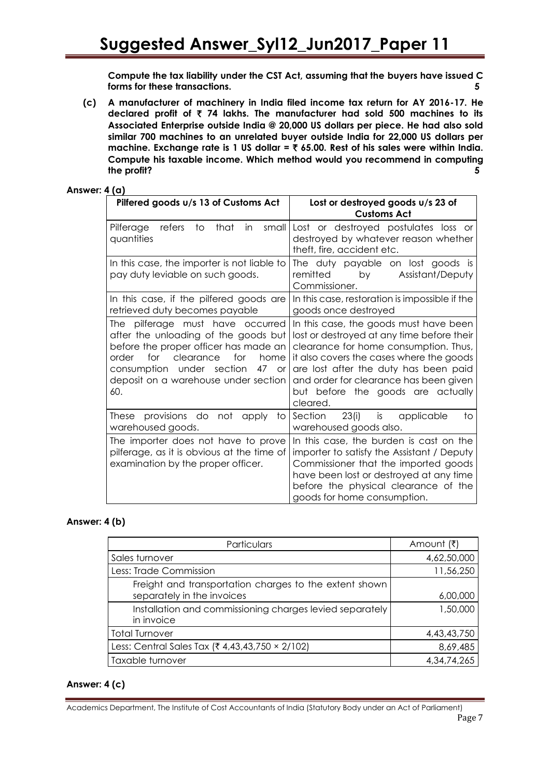**Compute the tax liability under the CST Act, assuming that the buyers have issued C forms for these transactions. 5**

**(c) A manufacturer of machinery in India filed income tax return for AY 2016-17. He declared profit of** ` **74 lakhs. The manufacturer had sold 500 machines to its Associated Enterprise outside India @ 20,000 US dollars per piece. He had also sold similar 700 machines to an unrelated buyer outside India for 22,000 US dollars per machine. Exchange rate is 1 US dollar =** ` **65.00. Rest of his sales were within India. Compute his taxable income. Which method would you recommend in computing the profit? 5**

## **Answer: 4 (a)**

| Pilfered goods u/s 13 of Customs Act                                                                                                                                                                                                                            | Lost or destroyed goods u/s 23 of<br><b>Customs Act</b>                                                                                                                                                                                                                                                       |
|-----------------------------------------------------------------------------------------------------------------------------------------------------------------------------------------------------------------------------------------------------------------|---------------------------------------------------------------------------------------------------------------------------------------------------------------------------------------------------------------------------------------------------------------------------------------------------------------|
| that<br>small<br>Pilferage<br>refers<br>to<br>in<br>quantities                                                                                                                                                                                                  | Lost or destroyed postulates loss or<br>destroyed by whatever reason whether<br>theft, fire, accident etc.                                                                                                                                                                                                    |
| In this case, the importer is not liable to<br>pay duty leviable on such goods.                                                                                                                                                                                 | The duty payable on lost goods is<br>by<br>remitted<br>Assistant/Deputy<br>Commissioner.                                                                                                                                                                                                                      |
| In this case, if the pilfered goods are<br>retrieved duty becomes payable                                                                                                                                                                                       | In this case, restoration is impossible if the<br>goods once destroyed                                                                                                                                                                                                                                        |
| pilferage must have occurred<br>The<br>after the unloading of the goods but<br>before the proper officer has made an<br>clearance<br>for<br>for<br>home<br>order<br>consumption under section<br>47<br><b>or</b><br>deposit on a warehouse under section<br>60. | In this case, the goods must have been<br>lost or destroyed at any time before their<br>clearance for home consumption. Thus,<br>it also covers the cases where the goods<br>are lost after the duty has been paid<br>and order for clearance has been given<br>but before the goods are actually<br>cleared. |
| These provisions do not apply to<br>warehoused goods.                                                                                                                                                                                                           | Section 23(i) is applicable<br>to<br>warehoused goods also.                                                                                                                                                                                                                                                   |
| The importer does not have to prove<br>pilferage, as it is obvious at the time of<br>examination by the proper officer.                                                                                                                                         | In this case, the burden is cast on the<br>importer to satisfy the Assistant / Deputy<br>Commissioner that the imported goods<br>have been lost or destroyed at any time<br>before the physical clearance of the<br>goods for home consumption.                                                               |

## **Answer: 4 (b)**

| Particulars                                                                          | Amount (₹)     |
|--------------------------------------------------------------------------------------|----------------|
| Sales turnover                                                                       | 4,62,50,000    |
| Less: Trade Commission                                                               | 11,56,250      |
| Freight and transportation charges to the extent shown<br>separately in the invoices | 6,00,000       |
| Installation and commissioning charges levied separately<br>in invoice               | 1,50,000       |
| Total Turnover                                                                       | 4,43,43,750    |
| Less: Central Sales Tax (₹ 4,43,43,750 × 2/102)                                      | 8,69,485       |
| Taxable turnover                                                                     | 4, 34, 74, 265 |

## **Answer: 4 (c)**

Academics Department, The Institute of Cost Accountants of India (Statutory Body under an Act of Parliament) Page 7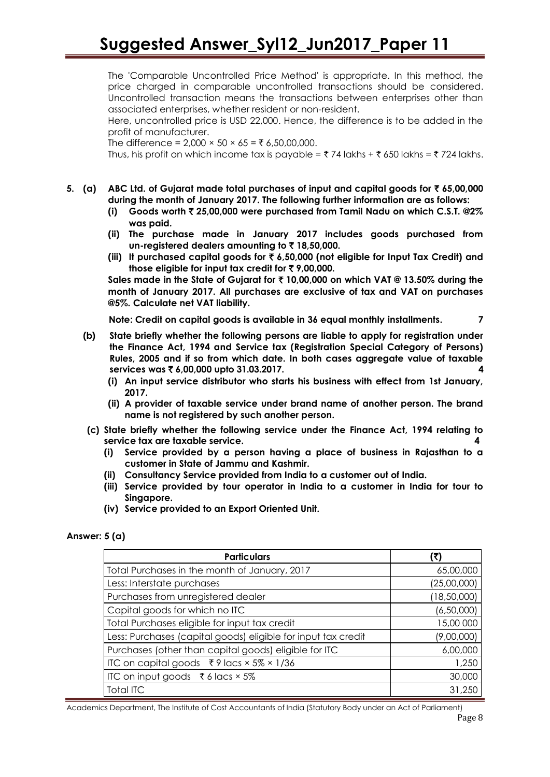The 'Comparable Uncontrolled Price Method' is appropriate. In this method, the price charged in comparable uncontrolled transactions should be considered. Uncontrolled transaction means the transactions between enterprises other than associated enterprises, whether resident or non-resident.

Here, uncontrolled price is USD 22,000. Hence, the difference is to be added in the profit of manufacturer.

The difference =  $2,000 \times 50 \times 65 = ₹ 6,50,00,000$ .

Thus, his profit on which income tax is payable =  $\bar{\tau}$  74 lakhs +  $\bar{\tau}$  650 lakhs =  $\bar{\tau}$  724 lakhs.

- **5. (a) ABC Ltd. of Gujarat made total purchases of input and capital goods for** ` **65,00,000 during the month of January 2017. The following further information are as follows:**
	- **(i) Goods worth** ` **25,00,000 were purchased from Tamil Nadu on which C.S.T. @2% was paid.**
	- **(ii) The purchase made in January 2017 includes goods purchased from un-registered dealers amounting to** ` **18,50,000.**
	- **(iii) It purchased capital goods for** ` **6,50,000 (not eligible for Input Tax Credit) and those eligible for input tax credit for** ` **9,00,000.**

**Sales made in the State of Gujarat for** ` **10,00,000 on which VAT @ 13.50% during the month of January 2017. All purchases are exclusive of tax and VAT on purchases @5%. Calculate net VAT liability.**

 **Note: Credit on capital goods is available in 36 equal monthly installments. 7**

- **(b) State briefly whether the following persons are liable to apply for registration under the Finance Act, 1994 and Service tax (Registration Special Category of Persons) Rules, 2005 and if so from which date. In both cases aggregate value of taxable services was ₹ 6,00,000 upto 31,03,2017.** 
	- **(i) An input service distributor who starts his business with effect from 1st January, 2017.**
	- **(ii) A provider of taxable service under brand name of another person. The brand name is not registered by such another person.**
- **(c) State briefly whether the following service under the Finance Act, 1994 relating to service tax are taxable service. 4**
	- **(i) Service provided by a person having a place of business in Rajasthan to a customer in State of Jammu and Kashmir.**
	- **(ii) Consultancy Service provided from India to a customer out of India.**
	- **(iii) Service provided by tour operator in India to a customer in India for tour to Singapore.**
	- **(iv) Service provided to an Export Oriented Unit.**

#### **Answer: 5 (a)**

| <b>Particulars</b>                                            | (₹)           |
|---------------------------------------------------------------|---------------|
| Total Purchases in the month of January, 2017                 | 65,00,000     |
| Less: Interstate purchases                                    | (25,00,000)   |
| Purchases from unregistered dealer                            | (18, 50, 000) |
| Capital goods for which no ITC                                | (6,50,000)    |
| Total Purchases eligible for input tax credit                 | 15,00 000     |
| Less: Purchases (capital goods) eligible for input tax credit | (9,00,000)    |
| Purchases (other than capital goods) eligible for ITC         | 6,00,000      |
| ITC on capital goods ₹9 lacs $\times$ 5% $\times$ 1/36        | 1,250         |
| ITC on input goods ₹ 6 lacs $\times$ 5%                       | 30,000        |
| <b>Total ITC</b>                                              | 31,250        |

Academics Department, The Institute of Cost Accountants of India (Statutory Body under an Act of Parliament)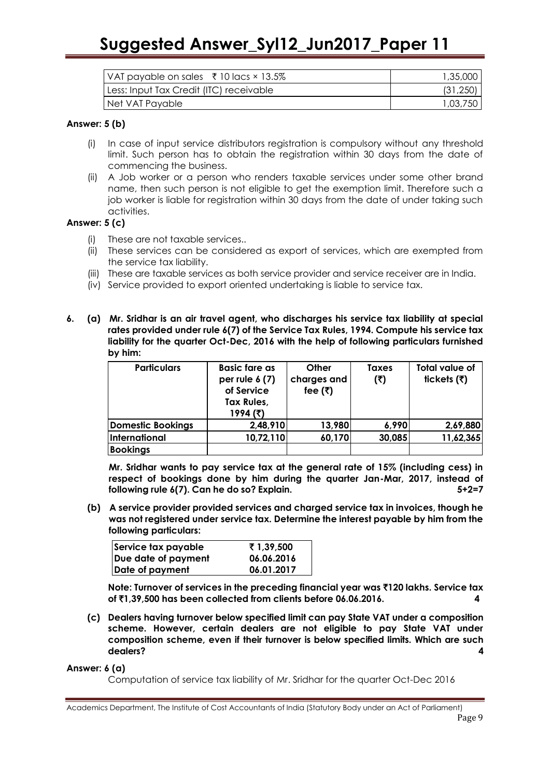|                                         | 1,35,000  |
|-----------------------------------------|-----------|
| Less: Input Tax Credit (ITC) receivable | (31, 250) |
| Net VAT Payable                         | 1,03,750  |

#### **Answer: 5 (b)**

- (i) In case of input service distributors registration is compulsory without any threshold limit. Such person has to obtain the registration within 30 days from the date of commencing the business.
- (ii) A Job worker or a person who renders taxable services under some other brand name, then such person is not eligible to get the exemption limit. Therefore such a job worker is liable for registration within 30 days from the date of under taking such activities.

#### **Answer: 5 (c)**

- (i) These are not taxable services..
- (ii) These services can be considered as export of services, which are exempted from the service tax liability.
- (iii) These are taxable services as both service provider and service receiver are in India.
- (iv) Service provided to export oriented undertaking is liable to service tax.
- **6. (a) Mr. Sridhar is an air travel agent, who discharges his service tax liability at special rates provided under rule 6(7) of the Service Tax Rules, 1994. Compute his service tax liability for the quarter Oct-Dec, 2016 with the help of following particulars furnished by him:**

| <b>Particulars</b>       | <b>Basic fare as</b><br>per rule $6(7)$<br>of Service<br>Tax Rules,<br>1994 (₹) | Other<br>charges and<br>fee $(\bar{\tau})$ | <b>Taxes</b><br>(5) | Total value of<br>tickets $(₹)$ |
|--------------------------|---------------------------------------------------------------------------------|--------------------------------------------|---------------------|---------------------------------|
| <b>Domestic Bookings</b> | 2,48,910                                                                        | 13,980                                     | 6,990               | 2,69,880                        |
| International            | 10,72,110                                                                       | 60,170                                     | 30,085              | 11,62,365                       |
| <b>Bookings</b>          |                                                                                 |                                            |                     |                                 |

**Mr. Sridhar wants to pay service tax at the general rate of 15% (including cess) in respect of bookings done by him during the quarter Jan-Mar, 2017, instead of following rule 6(7). Can he do so? Explain. 5+2=7**

**(b) A service provider provided services and charged service tax in invoices, though he was not registered under service tax. Determine the interest payable by him from the following particulars:**

| Service tax payable | ₹ 1,39,500 |
|---------------------|------------|
| Due date of payment | 06.06.2016 |
| Date of payment     | 06.01.2017 |

**Note: Turnover of services in the preceding financial year was** `**120 lakhs. Service tax of** `**1,39,500 has been collected from clients before 06.06.2016. 4**

**(c) Dealers having turnover below specified limit can pay State VAT under a composition scheme. However, certain dealers are not eligible to pay State VAT under composition scheme, even if their turnover is below specified limits. Which are such dealers? 4**

#### **Answer: 6 (a)**

Computation of service tax liability of Mr. Sridhar for the quarter Oct-Dec 2016

Academics Department, The Institute of Cost Accountants of India (Statutory Body under an Act of Parliament) Page 9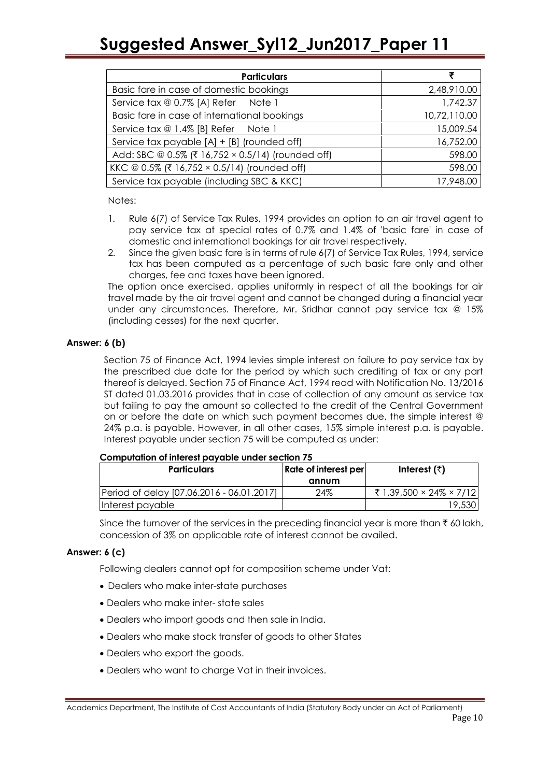| <b>Particulars</b>                                | ₹            |
|---------------------------------------------------|--------------|
| Basic fare in case of domestic bookings           | 2,48,910.00  |
| Service tax @ 0.7% [A] Refer Note 1               | 1,742.37     |
| Basic fare in case of international bookings      | 10,72,110.00 |
| Service tax @ 1.4% [B] Refer Note 1               | 15,009.54    |
| Service tax payable [A] + [B] (rounded off)       | 16,752.00    |
| Add: SBC @ 0.5% (₹ 16,752 × 0.5/14) (rounded off) | 598.00       |
| KKC @ 0.5% (₹ 16,752 × 0.5/14) (rounded off)      | 598.00       |
| Service tax payable (including SBC & KKC)         | 17,948.00    |

Notes:

- 1. Rule 6(7) of Service Tax Rules, 1994 provides an option to an air travel agent to pay service tax at special rates of 0.7% and 1.4% of 'basic fare' in case of domestic and international bookings for air travel respectively.
- 2. Since the given basic fare is in terms of rule 6(7) of Service Tax Rules, 1994, service tax has been computed as a percentage of such basic fare only and other charges, fee and taxes have been ignored.

The option once exercised, applies uniformly in respect of all the bookings for air travel made by the air travel agent and cannot be changed during a financial year under any circumstances. Therefore, Mr. Sridhar cannot pay service tax *@* 15% (including cesses) for the next quarter.

### **Answer: 6 (b)**

Section 75 of Finance Act, 1994 levies simple interest on failure to pay service tax by the prescribed due date for the period by which such crediting of tax or any part thereof is delayed. Section 75 of Finance Act, 1994 read with Notification No. 13/2016 ST dated 01.03.2016 provides that in case of collection of any amount as service tax but failing to pay the amount so collected to the credit of the Central Government on or before the date on which such payment becomes due, the simple interest *@*  24% p.a. is payable. However, in all other cases, 15% simple interest p.a. is payable. Interest payable under section 75 will be computed as under:

#### **Computation of interest payable under section 75**

| <b>Particulars</b>                        | Rate of interest per | Interest $(\bar{z})$    |
|-------------------------------------------|----------------------|-------------------------|
|                                           | annum                |                         |
| Period of delay [07.06.2016 - 06.01.2017] | 24%                  | ₹ 1,39,500 × 24% × 7/12 |
| Interest payable                          |                      | 19,530                  |

Since the turnover of the services in the preceding financial year is more than  $\bar{\tau}$  60 lakh, concession of 3% on applicable rate of interest cannot be availed.

#### **Answer: 6 (c)**

Following dealers cannot opt for composition scheme under Vat:

- Dealers who make inter-state purchases
- Dealers who make inter- state sales
- Dealers who import goods and then sale in India.
- Dealers who make stock transfer of goods to other States
- Dealers who export the goods.
- Dealers who want to charge Vat in their invoices.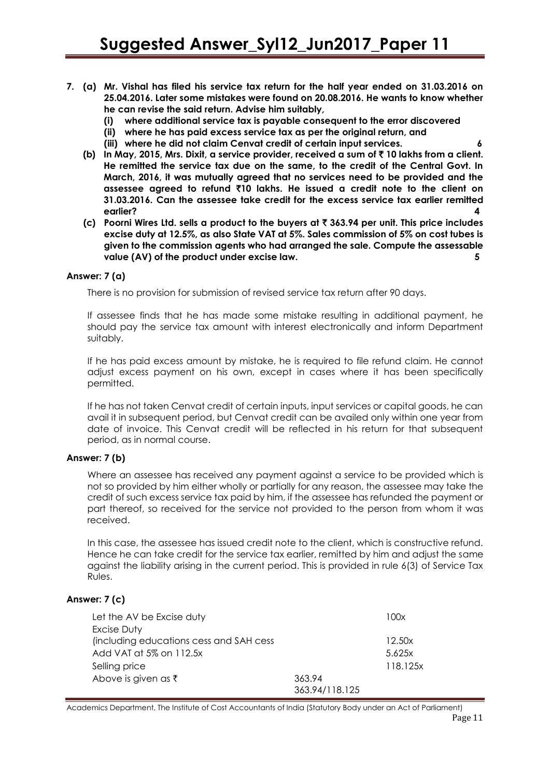- **7. (a) Mr. Vishal has filed his service tax return for the half year ended on 31.03.2016 on 25.04.2016. Later some mistakes were found on 20.08.2016. He wants to know whether he can revise the said return. Advise him suitably,**
	- **(i) where additional service tax is payable consequent to the error discovered**
	- **(ii) where he has paid excess service tax as per the original return, and**
	- **(iii) where he did not claim Cenvat credit of certain input services. 6**
	- **(b) In May, 2015, Mrs. Dixit, a service provider, received a sum of** ` **10 lakhs from a client. He remitted the service tax due on the same, to the credit of the Central Govt. In March, 2016, it was mutually agreed that no services need to be provided and the assessee agreed to refund** `**10 lakhs. He issued a credit note to the client on 31.03.2016. Can the assessee take credit for the excess service tax earlier remitted earlier? 4**
	- **(c) Poorni Wires Ltd. sells a product to the buyers at** ` **363.94 per unit. This price includes excise duty at 12.5%, as also State VAT at 5%. Sales commission of 5% on cost tubes is given to the commission agents who had arranged the sale. Compute the assessable value (AV) of the product under excise law. 5**

#### **Answer: 7 (a)**

There is no provision for submission of revised service tax return after 90 days.

If assessee finds that he has made some mistake resulting in additional payment, he should pay the service tax amount with interest electronically and inform Department suitably.

If he has paid excess amount by mistake, he is required to file refund claim. He cannot adjust excess payment on his own, except in cases where it has been specifically permitted.

If he has not taken Cenvat credit of certain inputs, input services or capital goods, he can avail it in subsequent period, but Cenvat credit can be availed only within one year from date of invoice. This Cenvat credit will be reflected in his return for that subsequent period, as in normal course.

#### **Answer: 7 (b)**

Where an assessee has received any payment against a service to be provided which is not so provided by him either wholly or partially for any reason, the assessee may take the credit of such excess service tax paid by him, if the assessee has refunded the payment or part thereof, so received for the service not provided to the person from whom it was received.

In this case, the assessee has issued credit note to the client, which is constructive refund. Hence he can take credit for the service tax earlier, remitted by him and adjust the same against the liability arising in the current period. This is provided in rule 6(3) of Service Tax Rules.

#### **Answer: 7 (c)**

| Let the AV be Excise duty               |                | 100x     |
|-----------------------------------------|----------------|----------|
| Excise Duty                             |                |          |
| (including educations cess and SAH cess |                | 12.50x   |
| Add VAT at 5% on 112.5x                 |                | 5.625x   |
| Selling price                           |                | 118.125x |
| Above is given as $\bar{\tau}$          | 363.94         |          |
|                                         | 363.94/118.125 |          |

Academics Department, The Institute of Cost Accountants of India (Statutory Body under an Act of Parliament)